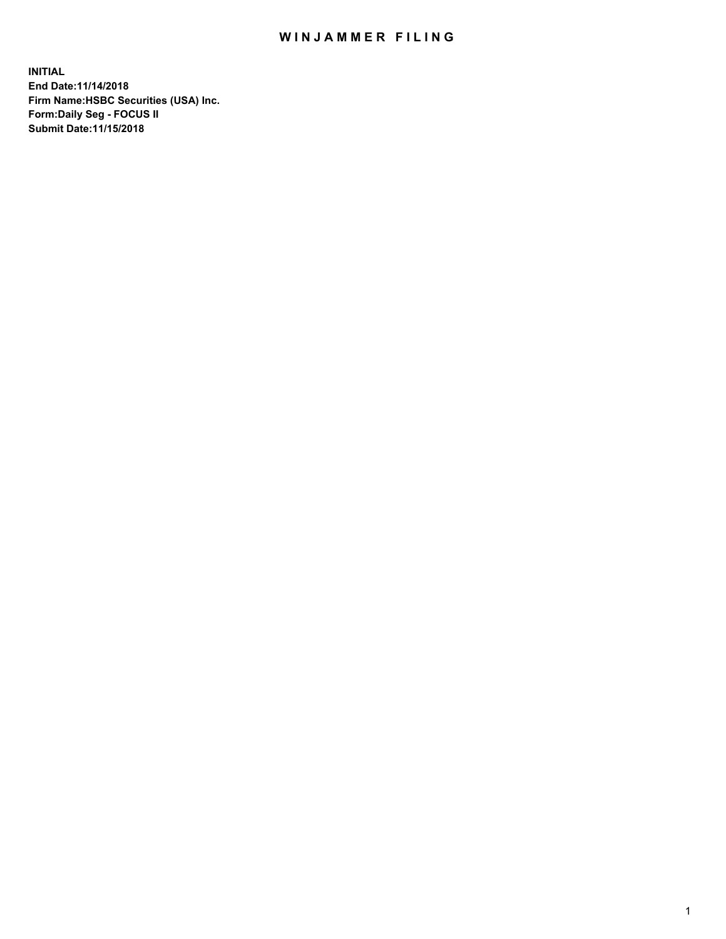## WIN JAMMER FILING

**INITIAL End Date:11/14/2018 Firm Name:HSBC Securities (USA) Inc. Form:Daily Seg - FOCUS II Submit Date:11/15/2018**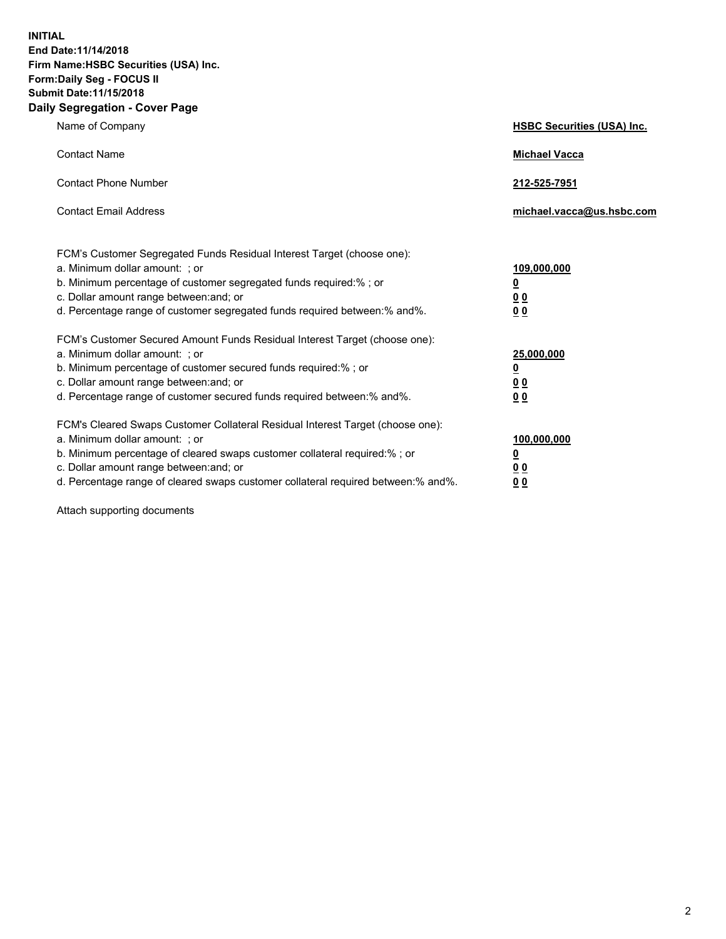**INITIAL End Date:11/14/2018 Firm Name:HSBC Securities (USA) Inc. Form:Daily Seg - FOCUS II Submit Date:11/15/2018 Daily Segregation - Cover Page**

| Name of Company                                                                                                                                                                                                                                                                                                                | <b>HSBC Securities (USA) Inc.</b>                                          |
|--------------------------------------------------------------------------------------------------------------------------------------------------------------------------------------------------------------------------------------------------------------------------------------------------------------------------------|----------------------------------------------------------------------------|
| <b>Contact Name</b>                                                                                                                                                                                                                                                                                                            | <b>Michael Vacca</b>                                                       |
| <b>Contact Phone Number</b>                                                                                                                                                                                                                                                                                                    | 212-525-7951                                                               |
| <b>Contact Email Address</b>                                                                                                                                                                                                                                                                                                   | michael.vacca@us.hsbc.com                                                  |
| FCM's Customer Segregated Funds Residual Interest Target (choose one):<br>a. Minimum dollar amount: : or<br>b. Minimum percentage of customer segregated funds required:% ; or<br>c. Dollar amount range between: and; or<br>d. Percentage range of customer segregated funds required between:% and%.                         | 109,000,000<br>$\overline{\mathbf{0}}$<br>0 <sub>0</sub><br>0 <sub>0</sub> |
| FCM's Customer Secured Amount Funds Residual Interest Target (choose one):<br>a. Minimum dollar amount: ; or<br>b. Minimum percentage of customer secured funds required:%; or<br>c. Dollar amount range between: and; or<br>d. Percentage range of customer secured funds required between:% and%.                            | 25,000,000<br><u>0</u><br>0 <sub>0</sub><br>00                             |
| FCM's Cleared Swaps Customer Collateral Residual Interest Target (choose one):<br>a. Minimum dollar amount: ; or<br>b. Minimum percentage of cleared swaps customer collateral required:% ; or<br>c. Dollar amount range between: and; or<br>d. Percentage range of cleared swaps customer collateral required between:% and%. | 100,000,000<br><u>0</u><br>00<br>0 <sub>0</sub>                            |

Attach supporting documents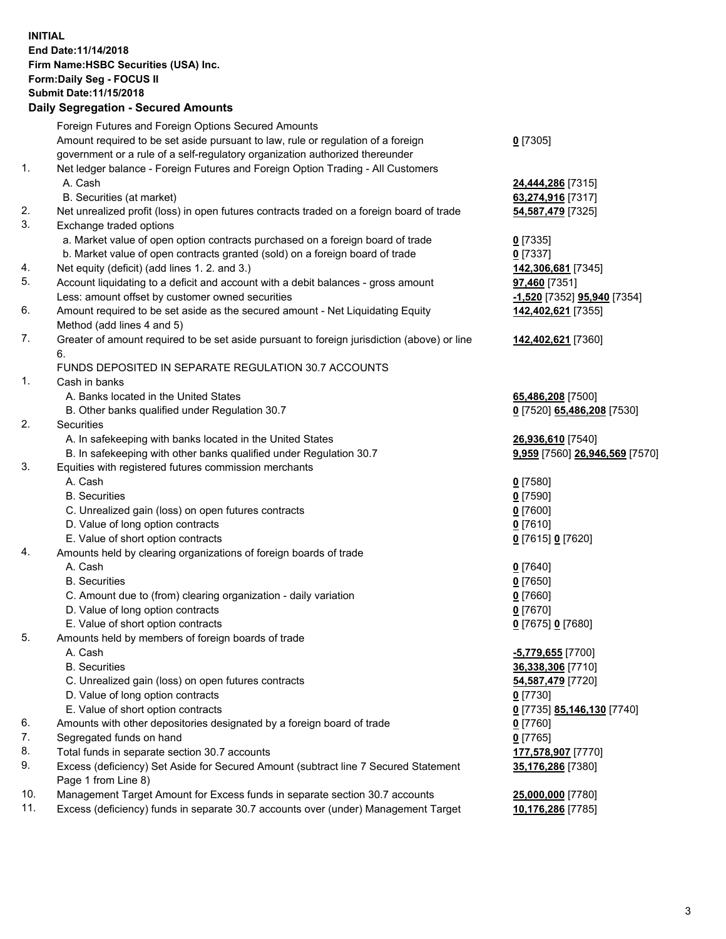**INITIAL End Date:11/14/2018 Firm Name:HSBC Securities (USA) Inc. Form:Daily Seg - FOCUS II Submit Date:11/15/2018 Daily Segregation - Secured Amounts** Foreign Futures and Foreign Options Secured Amounts Amount required to be set aside pursuant to law, rule or regulation of a foreign government or a rule of a self-regulatory organization authorized thereunder **0** [7305] 1. Net ledger balance - Foreign Futures and Foreign Option Trading - All Customers A. Cash **24,444,286** [7315] B. Securities (at market) **63,274,916** [7317] 2. Net unrealized profit (loss) in open futures contracts traded on a foreign board of trade **54,587,479** [7325] 3. Exchange traded options a. Market value of open option contracts purchased on a foreign board of trade **0** [7335] b. Market value of open contracts granted (sold) on a foreign board of trade **0** [7337] 4. Net equity (deficit) (add lines 1. 2. and 3.) **142,306,681** [7345] 5. Account liquidating to a deficit and account with a debit balances - gross amount **97,460** [7351] Less: amount offset by customer owned securities **-1,520** [7352] **95,940** [7354] 6. Amount required to be set aside as the secured amount - Net Liquidating Equity Method (add lines 4 and 5) **142,402,621** [7355] 7. Greater of amount required to be set aside pursuant to foreign jurisdiction (above) or line 6. **142,402,621** [7360] FUNDS DEPOSITED IN SEPARATE REGULATION 30.7 ACCOUNTS 1. Cash in banks A. Banks located in the United States **65,486,208** [7500] B. Other banks qualified under Regulation 30.7 **0** [7520] **65,486,208** [7530] 2. Securities A. In safekeeping with banks located in the United States **26,936,610** [7540] B. In safekeeping with other banks qualified under Regulation 30.7 **9,959** [7560] **26,946,569** [7570] 3. Equities with registered futures commission merchants A. Cash **0** [7580] B. Securities **0** [7590] C. Unrealized gain (loss) on open futures contracts **0** [7600] D. Value of long option contracts **0** [7610] E. Value of short option contracts **0** [7615] **0** [7620] 4. Amounts held by clearing organizations of foreign boards of trade A. Cash **0** [7640] B. Securities **0** [7650] C. Amount due to (from) clearing organization - daily variation **0** [7660] D. Value of long option contracts **0** [7670] E. Value of short option contracts **0** [7675] **0** [7680] 5. Amounts held by members of foreign boards of trade A. Cash **-5,779,655** [7700] B. Securities **36,338,306** [7710] C. Unrealized gain (loss) on open futures contracts **54,587,479** [7720] D. Value of long option contracts **0** [7730] E. Value of short option contracts **0** [7735] **85,146,130** [7740] 6. Amounts with other depositories designated by a foreign board of trade **0** [7760] 7. Segregated funds on hand **0** [7765] 8. Total funds in separate section 30.7 accounts **177,578,907** [7770] **35,176,286** [7380]

9. Excess (deficiency) Set Aside for Secured Amount (subtract line 7 Secured Statement Page 1 from Line 8)

10. Management Target Amount for Excess funds in separate section 30.7 accounts **25,000,000** [7780]

11. Excess (deficiency) funds in separate 30.7 accounts over (under) Management Target **10,176,286** [7785]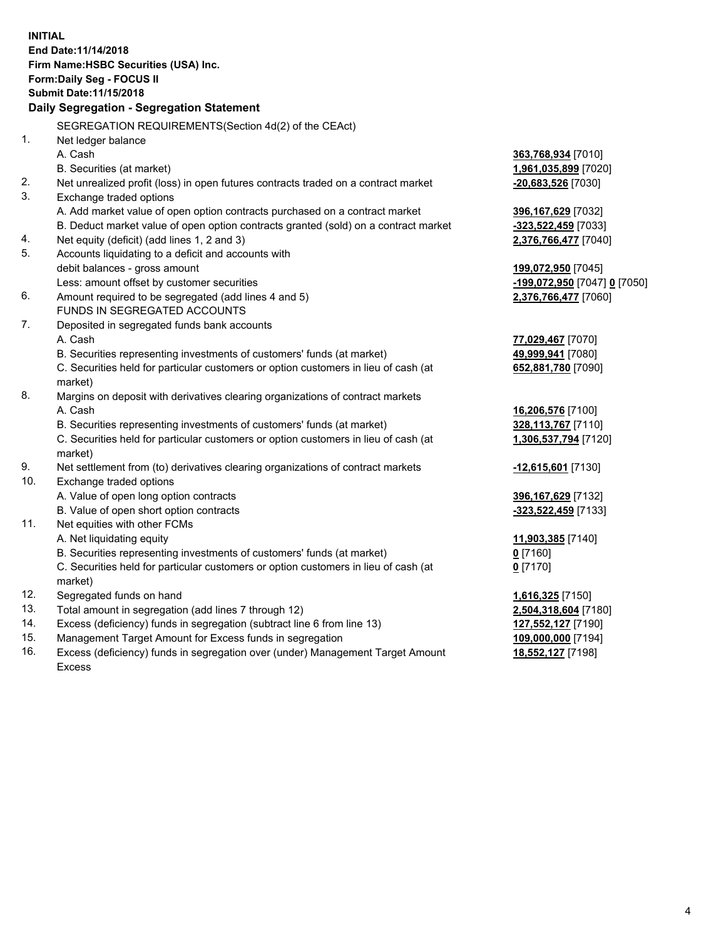|     | <b>INITIAL</b><br>End Date: 11/14/2018<br>Firm Name: HSBC Securities (USA) Inc.<br>Form: Daily Seg - FOCUS II<br>Submit Date: 11/15/2018<br>Daily Segregation - Segregation Statement |                                            |
|-----|---------------------------------------------------------------------------------------------------------------------------------------------------------------------------------------|--------------------------------------------|
|     | SEGREGATION REQUIREMENTS (Section 4d(2) of the CEAct)                                                                                                                                 |                                            |
| 1.  | Net ledger balance                                                                                                                                                                    |                                            |
|     | A. Cash                                                                                                                                                                               | 363,768,934 [7010]                         |
|     | B. Securities (at market)                                                                                                                                                             | 1,961,035,899 [7020]                       |
| 2.  | Net unrealized profit (loss) in open futures contracts traded on a contract market                                                                                                    | -20,683,526 [7030]                         |
| 3.  | Exchange traded options                                                                                                                                                               |                                            |
|     | A. Add market value of open option contracts purchased on a contract market                                                                                                           | 396,167,629 [7032]                         |
|     | B. Deduct market value of open option contracts granted (sold) on a contract market                                                                                                   | -323,522,459 [7033]                        |
| 4.  | Net equity (deficit) (add lines 1, 2 and 3)                                                                                                                                           | 2,376,766,477 [7040]                       |
| 5.  | Accounts liquidating to a deficit and accounts with                                                                                                                                   |                                            |
|     | debit balances - gross amount                                                                                                                                                         | 199,072,950 [7045]                         |
|     | Less: amount offset by customer securities                                                                                                                                            | <u>-199,072,950</u> [7047] <u>0</u> [7050] |
| 6.  | Amount required to be segregated (add lines 4 and 5)                                                                                                                                  | 2,376,766,477 [7060]                       |
|     | FUNDS IN SEGREGATED ACCOUNTS                                                                                                                                                          |                                            |
| 7.  | Deposited in segregated funds bank accounts                                                                                                                                           |                                            |
|     | A. Cash                                                                                                                                                                               | 77,029,467 [7070]                          |
|     | B. Securities representing investments of customers' funds (at market)                                                                                                                | 49,999,941 [7080]                          |
|     | C. Securities held for particular customers or option customers in lieu of cash (at                                                                                                   | 652,881,780 [7090]                         |
|     | market)                                                                                                                                                                               |                                            |
| 8.  | Margins on deposit with derivatives clearing organizations of contract markets                                                                                                        |                                            |
|     | A. Cash                                                                                                                                                                               | 16,206,576 [7100]                          |
|     | B. Securities representing investments of customers' funds (at market)                                                                                                                | 328,113,767 [7110]                         |
|     | C. Securities held for particular customers or option customers in lieu of cash (at<br>market)                                                                                        | 1,306,537,794 [7120]                       |
| 9.  | Net settlement from (to) derivatives clearing organizations of contract markets                                                                                                       | -12,615,601 [7130]                         |
| 10. | Exchange traded options                                                                                                                                                               |                                            |
|     | A. Value of open long option contracts                                                                                                                                                | 396,167,629 [7132]                         |
|     | B. Value of open short option contracts                                                                                                                                               | -323,522,459 [7133]                        |
| 11. | Net equities with other FCMs                                                                                                                                                          |                                            |
|     | A. Net liquidating equity                                                                                                                                                             | 11,903,385 [7140]                          |
|     | B. Securities representing investments of customers' funds (at market)                                                                                                                | $0$ [7160]                                 |
|     | C. Securities held for particular customers or option customers in lieu of cash (at                                                                                                   | $0$ [7170]                                 |
|     | market)                                                                                                                                                                               |                                            |
| 12. | Segregated funds on hand                                                                                                                                                              | 1,616,325 [7150]                           |
| 13. | Total amount in segregation (add lines 7 through 12)                                                                                                                                  | 2,504,318,604 [7180]                       |
| 14. | Excess (deficiency) funds in segregation (subtract line 6 from line 13)                                                                                                               | 127,552,127 [7190]                         |
| 15. | Management Target Amount for Excess funds in segregation                                                                                                                              | 109,000,000 [7194]                         |
| 16. | Excess (deficiency) funds in segregation over (under) Management Target Amount                                                                                                        | 18,552,127 [7198]                          |

16. Excess (deficiency) funds in segregation over (under) Management Target Amount Excess